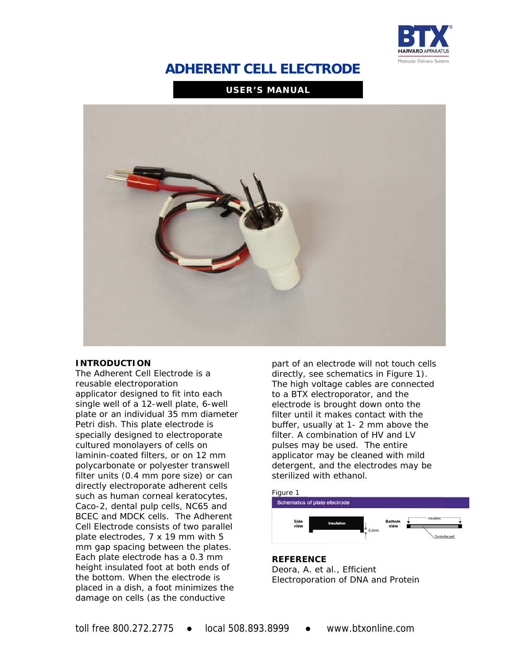

# **ADHERENT CELL ELECTRODE**

**USER'S MANUAL**



### **INTRODUCTION**

The Adherent Cell Electrode is a reusable electroporation applicator designed to fit into each single well of a 12-well plate, 6-well plate or an individual 35 mm diameter Petri dish. This plate electrode is specially designed to electroporate cultured monolayers of cells on laminin-coated filters, or on 12 mm polycarbonate or polyester transwell filter units (0.4 mm pore size) or can directly electroporate adherent cells such as human corneal keratocytes, Caco-2, dental pulp cells, NC65 and BCEC and MDCK cells. The Adherent Cell Electrode consists of two parallel plate electrodes, 7 x 19 mm with 5 mm gap spacing between the plates. Each plate electrode has a 0.3 mm height insulated foot at both ends of the bottom. When the electrode is placed in a dish, a foot minimizes the damage on cells (as the conductive

part of an electrode will not touch cells directly, see schematics in Figure 1). The high voltage cables are connected to a BTX electroporator, and the electrode is brought down onto the filter until it makes contact with the buffer, usually at 1- 2 mm above the filter. A combination of HV and LV pulses may be used. The entire applicator may be cleaned with mild detergent, and the electrodes may be sterilized with ethanol.



#### **REFERENCE**  Deora, A. et al., Efficient

Electroporation of DNA and Protein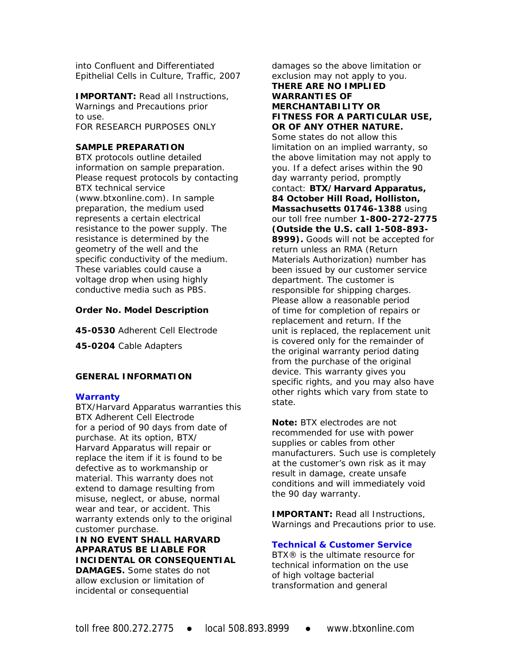into Confluent and Differentiated Epithelial Cells in Culture, *Traffic,* 2007

**IMPORTANT:** Read all Instructions, Warnings and Precautions prior to use. FOR RESEARCH PURPOSES ONLY

### **SAMPLE PREPARATION**

BTX protocols outline detailed information on sample preparation. Please request protocols by contacting BTX technical service (www.btxonline.com). In sample preparation, the medium used represents a certain electrical resistance to the power supply. The resistance is determined by the geometry of the well and the specific conductivity of the medium. These variables could cause a voltage drop when using highly conductive media such as PBS.

### **Order No. Model Description**

**45-0530** Adherent Cell Electrode

**45-0204** Cable Adapters

### **GENERAL INFORMATION**

### **Warranty**

BTX/Harvard Apparatus warranties this BTX Adherent Cell Electrode for a period of 90 days from date of purchase. At its option, BTX/ Harvard Apparatus will repair or replace the item if it is found to be defective as to workmanship or material. This warranty does not extend to damage resulting from misuse, neglect, or abuse, normal wear and tear, or accident. This warranty extends only to the original customer purchase.

**IN NO EVENT SHALL HARVARD APPARATUS BE LIABLE FOR INCIDENTAL OR CONSEQUENTIAL DAMAGES.** Some states do not allow exclusion or limitation of incidental or consequential

damages so the above limitation or exclusion may not apply to you. **THERE ARE NO IMPLIED WARRANTIES OF MERCHANTABILITY OR FITNESS FOR A PARTICULAR USE, OR OF ANY OTHER NATURE.**  Some states do not allow this limitation on an implied warranty, so the above limitation may not apply to you. If a defect arises within the 90 day warranty period, promptly contact: **BTX/Harvard Apparatus, 84 October Hill Road, Holliston, Massachusetts 01746-1388** using our toll free number **1-800-272-2775 (Outside the U.S. call 1-508-893- 8999).** Goods will not be accepted for return unless an RMA (Return Materials Authorization) number has been issued by our customer service department. The customer is responsible for shipping charges. Please allow a reasonable period of time for completion of repairs or replacement and return. If the unit is replaced, the replacement unit is covered only for the remainder of the original warranty period dating from the purchase of the original device. This warranty gives you specific rights, and you may also have other rights which vary from state to state.

**Note:** BTX electrodes are not recommended for use with power supplies or cables from other manufacturers. Such use is completely at the customer's own risk as it may result in damage, create unsafe conditions and will immediately void the 90 day warranty.

**IMPORTANT:** Read all Instructions, Warnings and Precautions prior to use.

### **Technical & Customer Service**

BTX® is the ultimate resource for technical information on the use of high voltage bacterial transformation and general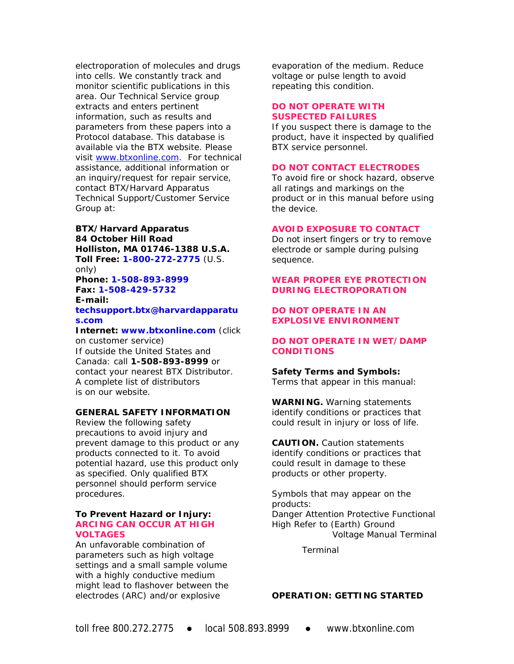electroporation of molecules and drugs into cells. We constantly track and monitor scientific publications in this area. Our Technical Service group extracts and enters pertinent information, such as results and parameters from these papers into a Protocol database. This database is available via the BTX website. Please visit www.btxonline.com. For technical assistance, additional information or an inquiry/request for repair service, contact BTX/Harvard Apparatus Technical Support/Customer Service Group at:

# **BTX/Harvard Apparatus 84 October Hill Road Holliston, MA 01746-1388 U.S.A. Toll Free: 1-800-272-2775** (U.S.

only) **Phone: 1-508-893-8999 Fax: 1-508-429-5732** 

#### **E-mail: techsupport.btx@harvardapparatu s.com**

**Internet: www.btxonline.com** (click on customer service) If outside the United States and Canada: call **1-508-893-8999** or contact your nearest BTX Distributor.

A complete list of distributors is on our website.

### **GENERAL SAFETY INFORMATION**

Review the following safety precautions to avoid injury and prevent damage to this product or any products connected to it. To avoid potential hazard, use this product only as specified. Only qualified BTX personnel should perform service procedures.

### **To Prevent Hazard or Injury: ARCING CAN OCCUR AT HIGH VOLTAGES**

An unfavorable combination of parameters such as high voltage settings and a small sample volume with a highly conductive medium might lead to flashover between the electrodes (ARC) and/or explosive

evaporation of the medium. Reduce voltage or pulse length to avoid repeating this condition.

### **DO NOT OPERATE WITH SUSPECTED FAILURES**

If you suspect there is damage to the product, have it inspected by qualified BTX service personnel.

# **DO NOT CONTACT ELECTRODES**

To avoid fire or shock hazard, observe all ratings and markings on the product or in this manual before using the device.

### **AVOID EXPOSURE TO CONTACT**

Do not insert fingers or try to remove electrode or sample during pulsing sequence.

### **WEAR PROPER EYE PROTECTION DURING ELECTROPORATION**

### **DO NOT OPERATE IN AN EXPLOSIVE ENVIRONMENT**

# **DO NOT OPERATE IN WET/DAMP CONDITIONS**

**Safety Terms and Symbols:**  Terms that appear in this manual:

**WARNING.** Warning statements identify conditions or practices that could result in injury or loss of life.

**CAUTION.** Caution statements identify conditions or practices that could result in damage to these products or other property.

Symbols that may appear on the products: Danger Attention Protective Functional High Refer to (Earth) Ground Voltage Manual Terminal

Terminal

### **OPERATION: GETTING STARTED**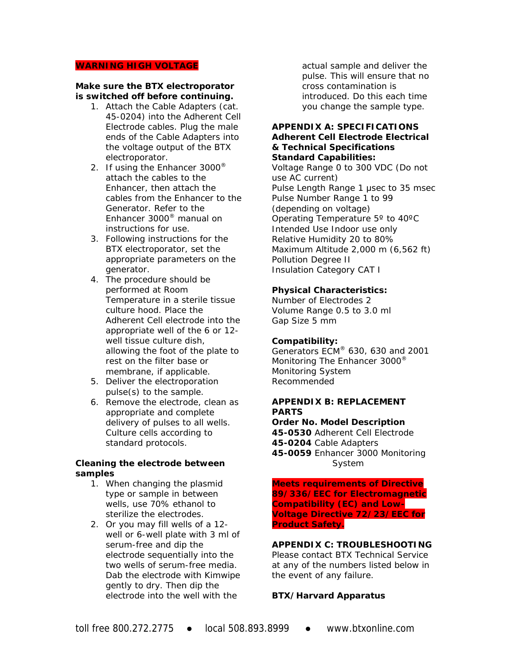#### **WARNING HIGH VOLTAGE**

### **Make sure the BTX electroporator is switched off before continuing.**

- 1. Attach the Cable Adapters (cat. 45-0204) into the Adherent Cell Electrode cables. Plug the male ends of the Cable Adapters into the voltage output of the BTX electroporator.
- 2. If using the Enhancer 3000® attach the cables to the Enhancer, then attach the cables from the Enhancer to the Generator. Refer to the Enhancer 3000® manual on instructions for use.
- 3. Following instructions for the BTX electroporator, set the appropriate parameters on the generator.
- 4. The procedure should be performed at Room Temperature in a sterile tissue culture hood. Place the Adherent Cell electrode into the appropriate well of the 6 or 12 well tissue culture dish, allowing the foot of the plate to rest on the filter base or membrane, if applicable.
- 5. Deliver the electroporation pulse(s) to the sample.
- 6. Remove the electrode, clean as appropriate and complete delivery of pulses to all wells. Culture cells according to standard protocols.

### **Cleaning the electrode between samples**

- 1. When changing the plasmid type or sample in between wells, use 70% ethanol to sterilize the electrodes.
- 2. Or you may fill wells of a 12 well or 6-well plate with 3 ml of serum-free and dip the electrode sequentially into the two wells of serum-free media. Dab the electrode with Kimwipe gently to dry. Then dip the electrode into the well with the

actual sample and deliver the pulse. This will ensure that no cross contamination is introduced. Do this each time you change the sample type.

### **APPENDIX A: SPECIFICATIONS Adherent Cell Electrode Electrical & Technical Specifications Standard Capabilities:**

Voltage Range 0 to 300 VDC (Do not use AC current) Pulse Length Range 1 μsec to 35 msec Pulse Number Range 1 to 99 (depending on voltage) Operating Temperature 5º to 40ºC Intended Use Indoor use only Relative Humidity 20 to 80% Maximum Altitude 2,000 m (6,562 ft) Pollution Degree II Insulation Category CAT I

#### **Physical Characteristics:**

Number of Electrodes 2 Volume Range 0.5 to 3.0 ml Gap Size 5 mm

#### **Compatibility:**

Generators ECM® 630, 630 and 2001 Monitoring The Enhancer 3000<sup>®</sup> Monitoring System Recommended

### **APPENDIX B: REPLACEMENT PARTS**

**Order No. Model Description 45-0530** Adherent Cell Electrode **45-0204** Cable Adapters **45-0059** Enhancer 3000 Monitoring System

**Meets requirements of Directive 89/336/EEC for Electromagnetic Compatibility (EC) and Low-Voltage Directive 72/23/EEC for Product Safety.** 

# **APPENDIX C: TROUBLESHOOTING**

Please contact BTX Technical Service at any of the numbers listed below in the event of any failure.

#### **BTX/Harvard Apparatus**